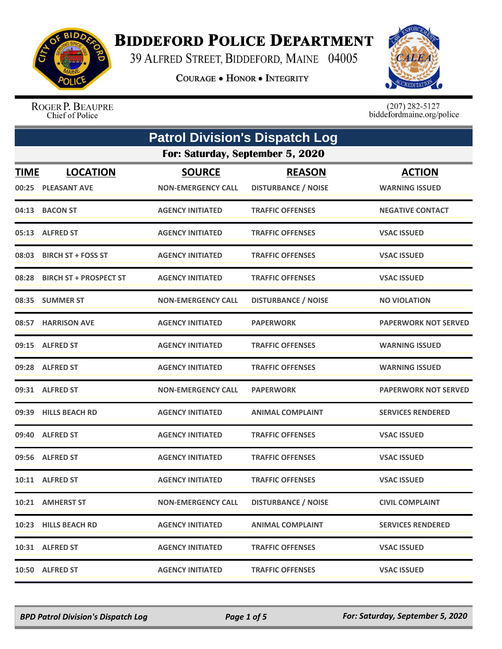

## **BIDDEFORD POLICE DEPARTMENT**

39 ALFRED STREET, BIDDEFORD, MAINE 04005

**COURAGE . HONOR . INTEGRITY** 



ROGER P. BEAUPRE Chief of Police

 $(207)$  282-5127<br>biddefordmaine.org/police

|                                  | <b>Patrol Division's Dispatch Log</b>  |                                            |                                             |                                        |
|----------------------------------|----------------------------------------|--------------------------------------------|---------------------------------------------|----------------------------------------|
| For: Saturday, September 5, 2020 |                                        |                                            |                                             |                                        |
| <b>TIME</b><br>00:25             | <b>LOCATION</b><br><b>PLEASANT AVE</b> | <b>SOURCE</b><br><b>NON-EMERGENCY CALL</b> | <b>REASON</b><br><b>DISTURBANCE / NOISE</b> | <b>ACTION</b><br><b>WARNING ISSUED</b> |
|                                  | 04:13 BACON ST                         | <b>AGENCY INITIATED</b>                    | <b>TRAFFIC OFFENSES</b>                     | <b>NEGATIVE CONTACT</b>                |
|                                  | 05:13 ALFRED ST                        | <b>AGENCY INITIATED</b>                    | <b>TRAFFIC OFFENSES</b>                     | <b>VSAC ISSUED</b>                     |
| 08:03                            | <b>BIRCH ST + FOSS ST</b>              | <b>AGENCY INITIATED</b>                    | <b>TRAFFIC OFFENSES</b>                     | <b>VSAC ISSUED</b>                     |
|                                  | 08:28 BIRCH ST + PROSPECT ST           | <b>AGENCY INITIATED</b>                    | <b>TRAFFIC OFFENSES</b>                     | <b>VSAC ISSUED</b>                     |
| 08:35                            | <b>SUMMER ST</b>                       | <b>NON-EMERGENCY CALL</b>                  | <b>DISTURBANCE / NOISE</b>                  | <b>NO VIOLATION</b>                    |
|                                  | 08:57 HARRISON AVE                     | <b>AGENCY INITIATED</b>                    | <b>PAPERWORK</b>                            | <b>PAPERWORK NOT SERVED</b>            |
| 09:15                            | <b>ALFRED ST</b>                       | <b>AGENCY INITIATED</b>                    | <b>TRAFFIC OFFENSES</b>                     | <b>WARNING ISSUED</b>                  |
|                                  | 09:28 ALFRED ST                        | <b>AGENCY INITIATED</b>                    | <b>TRAFFIC OFFENSES</b>                     | <b>WARNING ISSUED</b>                  |
|                                  | 09:31 ALFRED ST                        | <b>NON-EMERGENCY CALL</b>                  | <b>PAPERWORK</b>                            | <b>PAPERWORK NOT SERVED</b>            |
| 09:39                            | <b>HILLS BEACH RD</b>                  | <b>AGENCY INITIATED</b>                    | <b>ANIMAL COMPLAINT</b>                     | <b>SERVICES RENDERED</b>               |
|                                  | 09:40 ALFRED ST                        | <b>AGENCY INITIATED</b>                    | <b>TRAFFIC OFFENSES</b>                     | <b>VSAC ISSUED</b>                     |
|                                  | 09:56 ALFRED ST                        | <b>AGENCY INITIATED</b>                    | <b>TRAFFIC OFFENSES</b>                     | <b>VSAC ISSUED</b>                     |
|                                  | 10:11 ALFRED ST                        | <b>AGENCY INITIATED</b>                    | <b>TRAFFIC OFFENSES</b>                     | <b>VSAC ISSUED</b>                     |
|                                  | 10:21 AMHERST ST                       | <b>NON-EMERGENCY CALL</b>                  | <b>DISTURBANCE / NOISE</b>                  | <b>CIVIL COMPLAINT</b>                 |
|                                  | 10:23 HILLS BEACH RD                   | <b>AGENCY INITIATED</b>                    | <b>ANIMAL COMPLAINT</b>                     | <b>SERVICES RENDERED</b>               |
|                                  | 10:31 ALFRED ST                        | <b>AGENCY INITIATED</b>                    | <b>TRAFFIC OFFENSES</b>                     | <b>VSAC ISSUED</b>                     |
|                                  | 10:50 ALFRED ST                        | <b>AGENCY INITIATED</b>                    | <b>TRAFFIC OFFENSES</b>                     | <b>VSAC ISSUED</b>                     |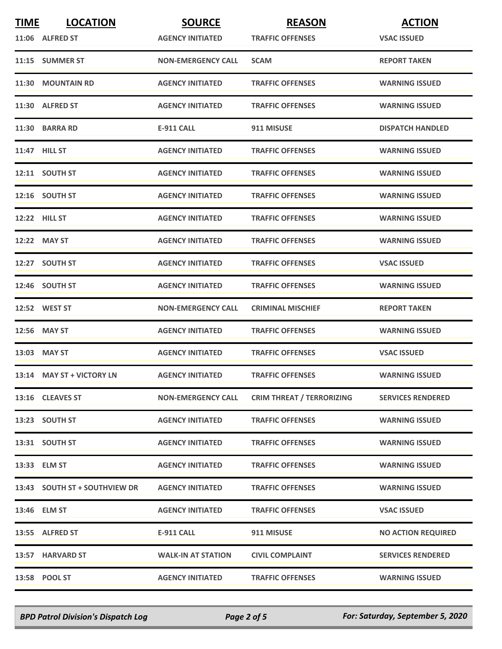| <b>TIME</b> | <b>LOCATION</b>               | <b>SOURCE</b>             | <b>REASON</b>                    | <b>ACTION</b>             |
|-------------|-------------------------------|---------------------------|----------------------------------|---------------------------|
|             | 11:06 ALFRED ST               | <b>AGENCY INITIATED</b>   | <b>TRAFFIC OFFENSES</b>          | <b>VSAC ISSUED</b>        |
|             | 11:15 SUMMER ST               | <b>NON-EMERGENCY CALL</b> | <b>SCAM</b>                      | <b>REPORT TAKEN</b>       |
|             | 11:30 MOUNTAIN RD             | <b>AGENCY INITIATED</b>   | <b>TRAFFIC OFFENSES</b>          | <b>WARNING ISSUED</b>     |
|             | 11:30 ALFRED ST               | <b>AGENCY INITIATED</b>   | <b>TRAFFIC OFFENSES</b>          | <b>WARNING ISSUED</b>     |
|             | 11:30 BARRA RD                | <b>E-911 CALL</b>         | 911 MISUSE                       | <b>DISPATCH HANDLED</b>   |
|             | 11:47 HILL ST                 | <b>AGENCY INITIATED</b>   | <b>TRAFFIC OFFENSES</b>          | <b>WARNING ISSUED</b>     |
|             | 12:11 SOUTH ST                | <b>AGENCY INITIATED</b>   | <b>TRAFFIC OFFENSES</b>          | <b>WARNING ISSUED</b>     |
|             | 12:16 SOUTH ST                | <b>AGENCY INITIATED</b>   | <b>TRAFFIC OFFENSES</b>          | <b>WARNING ISSUED</b>     |
|             | 12:22 HILL ST                 | <b>AGENCY INITIATED</b>   | <b>TRAFFIC OFFENSES</b>          | <b>WARNING ISSUED</b>     |
|             | 12:22 MAY ST                  | <b>AGENCY INITIATED</b>   | <b>TRAFFIC OFFENSES</b>          | <b>WARNING ISSUED</b>     |
|             | 12:27 SOUTH ST                | <b>AGENCY INITIATED</b>   | <b>TRAFFIC OFFENSES</b>          | <b>VSAC ISSUED</b>        |
|             | 12:46 SOUTH ST                | <b>AGENCY INITIATED</b>   | <b>TRAFFIC OFFENSES</b>          | <b>WARNING ISSUED</b>     |
|             | 12:52 WEST ST                 | <b>NON-EMERGENCY CALL</b> | <b>CRIMINAL MISCHIEF</b>         | <b>REPORT TAKEN</b>       |
|             | 12:56 MAY ST                  | <b>AGENCY INITIATED</b>   | <b>TRAFFIC OFFENSES</b>          | <b>WARNING ISSUED</b>     |
|             | 13:03 MAY ST                  | <b>AGENCY INITIATED</b>   | <b>TRAFFIC OFFENSES</b>          | <b>VSAC ISSUED</b>        |
|             | 13:14 MAY ST + VICTORY LN     | <b>AGENCY INITIATED</b>   | <b>TRAFFIC OFFENSES</b>          | <b>WARNING ISSUED</b>     |
|             | 13:16 CLEAVES ST              | <b>NON-EMERGENCY CALL</b> | <b>CRIM THREAT / TERRORIZING</b> | <b>SERVICES RENDERED</b>  |
|             | 13:23 SOUTH ST                | <b>AGENCY INITIATED</b>   | <b>TRAFFIC OFFENSES</b>          | <b>WARNING ISSUED</b>     |
|             | 13:31 SOUTH ST                | <b>AGENCY INITIATED</b>   | <b>TRAFFIC OFFENSES</b>          | <b>WARNING ISSUED</b>     |
|             | 13:33 ELM ST                  | <b>AGENCY INITIATED</b>   | <b>TRAFFIC OFFENSES</b>          | <b>WARNING ISSUED</b>     |
|             | 13:43 SOUTH ST + SOUTHVIEW DR | <b>AGENCY INITIATED</b>   | <b>TRAFFIC OFFENSES</b>          | <b>WARNING ISSUED</b>     |
|             | 13:46 ELM ST                  | <b>AGENCY INITIATED</b>   | <b>TRAFFIC OFFENSES</b>          | <b>VSAC ISSUED</b>        |
|             | 13:55 ALFRED ST               | <b>E-911 CALL</b>         | 911 MISUSE                       | <b>NO ACTION REQUIRED</b> |
|             | 13:57 HARVARD ST              | <b>WALK-IN AT STATION</b> | <b>CIVIL COMPLAINT</b>           | <b>SERVICES RENDERED</b>  |
|             | 13:58 POOL ST                 | <b>AGENCY INITIATED</b>   | <b>TRAFFIC OFFENSES</b>          | <b>WARNING ISSUED</b>     |

*BPD Patrol Division's Dispatch Log Page 2 of 5 For: Saturday, September 5, 2020*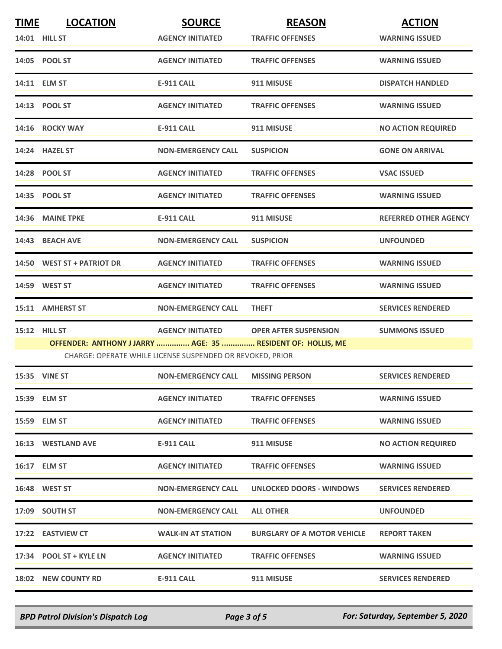| <b>TIME</b> | <b>LOCATION</b>                                             | <b>SOURCE</b>                                             | <b>REASON</b>                      | <b>ACTION</b>                |
|-------------|-------------------------------------------------------------|-----------------------------------------------------------|------------------------------------|------------------------------|
|             | 14:01 HILL ST                                               | <b>AGENCY INITIATED</b>                                   | <b>TRAFFIC OFFENSES</b>            | <b>WARNING ISSUED</b>        |
|             | 14:05 POOL ST                                               | <b>AGENCY INITIATED</b>                                   | <b>TRAFFIC OFFENSES</b>            | <b>WARNING ISSUED</b>        |
|             | 14:11 ELM ST                                                | E-911 CALL                                                | 911 MISUSE                         | <b>DISPATCH HANDLED</b>      |
|             | 14:13 POOL ST                                               | <b>AGENCY INITIATED</b>                                   | <b>TRAFFIC OFFENSES</b>            | <b>WARNING ISSUED</b>        |
|             | 14:16 ROCKY WAY                                             | <b>E-911 CALL</b>                                         | 911 MISUSE                         | <b>NO ACTION REQUIRED</b>    |
|             | 14:24 HAZEL ST                                              | <b>NON-EMERGENCY CALL</b>                                 | <b>SUSPICION</b>                   | <b>GONE ON ARRIVAL</b>       |
|             | 14:28 POOL ST                                               | <b>AGENCY INITIATED</b>                                   | <b>TRAFFIC OFFENSES</b>            | <b>VSAC ISSUED</b>           |
|             | 14:35 POOL ST                                               | <b>AGENCY INITIATED</b>                                   | <b>TRAFFIC OFFENSES</b>            | <b>WARNING ISSUED</b>        |
|             | 14:36 MAINE TPKE                                            | <b>E-911 CALL</b>                                         | 911 MISUSE                         | <b>REFERRED OTHER AGENCY</b> |
|             | 14:43 BEACH AVE                                             | <b>NON-EMERGENCY CALL</b>                                 | <b>SUSPICION</b>                   | <b>UNFOUNDED</b>             |
|             | 14:50 WEST ST + PATRIOT DR                                  | <b>AGENCY INITIATED</b>                                   | <b>TRAFFIC OFFENSES</b>            | <b>WARNING ISSUED</b>        |
|             | 14:59 WEST ST                                               | <b>AGENCY INITIATED</b>                                   | <b>TRAFFIC OFFENSES</b>            | <b>WARNING ISSUED</b>        |
|             | 15:11 AMHERST ST                                            | <b>NON-EMERGENCY CALL</b>                                 | <b>THEFT</b>                       | <b>SERVICES RENDERED</b>     |
|             | 15:12 HILL ST                                               | <b>AGENCY INITIATED</b>                                   | <b>OPER AFTER SUSPENSION</b>       | <b>SUMMONS ISSUED</b>        |
|             | OFFENDER: ANTHONY J JARRY  AGE: 35  RESIDENT OF: HOLLIS, ME | CHARGE: OPERATE WHILE LICENSE SUSPENDED OR REVOKED, PRIOR |                                    |                              |
|             | 15:35 VINE ST                                               | <b>NON-EMERGENCY CALL</b>                                 | <b>MISSING PERSON</b>              | <b>SERVICES RENDERED</b>     |
|             | 15:39 ELM ST                                                | <b>AGENCY INITIATED</b>                                   | <b>TRAFFIC OFFENSES</b>            | <b>WARNING ISSUED</b>        |
|             | 15:59 ELM ST                                                | <b>AGENCY INITIATED</b>                                   | <b>TRAFFIC OFFENSES</b>            | <b>WARNING ISSUED</b>        |
|             | <b>16:13 WESTLAND AVE</b>                                   | E-911 CALL                                                | 911 MISUSE                         | <b>NO ACTION REQUIRED</b>    |
|             | 16:17 ELM ST                                                | <b>AGENCY INITIATED</b>                                   | <b>TRAFFIC OFFENSES</b>            | <b>WARNING ISSUED</b>        |
|             | <b>16:48 WEST ST</b>                                        | <b>NON-EMERGENCY CALL</b>                                 | UNLOCKED DOORS - WINDOWS           | <b>SERVICES RENDERED</b>     |
|             | 17:09 SOUTH ST                                              | <b>NON-EMERGENCY CALL</b>                                 | <b>ALL OTHER</b>                   | <b>UNFOUNDED</b>             |
|             | 17:22 EASTVIEW CT                                           | <b>WALK-IN AT STATION</b>                                 | <b>BURGLARY OF A MOTOR VEHICLE</b> | <b>REPORT TAKEN</b>          |
|             | 17:34 POOL ST + KYLE LN                                     | <b>AGENCY INITIATED</b>                                   | <b>TRAFFIC OFFENSES</b>            | <b>WARNING ISSUED</b>        |
|             | <b>18:02 NEW COUNTY RD</b>                                  | <b>E-911 CALL</b>                                         | 911 MISUSE                         | <b>SERVICES RENDERED</b>     |

*BPD Patrol Division's Dispatch Log Page 3 of 5 For: Saturday, September 5, 2020*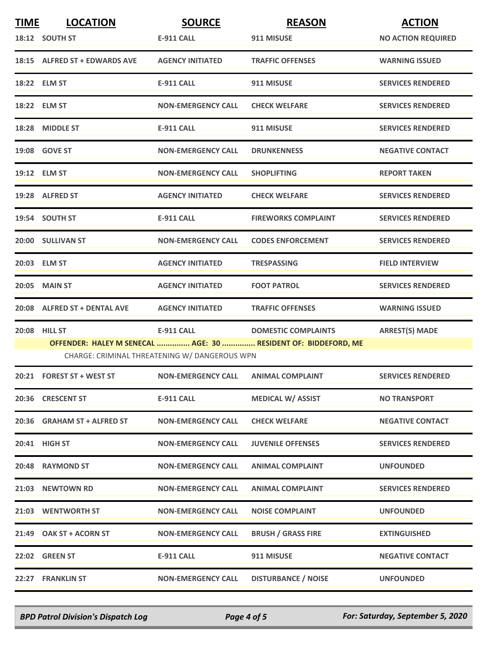| <b>TIME</b> | <b>LOCATION</b>               | <b>SOURCE</b>                                 | <b>REASON</b>                                                  | <b>ACTION</b>             |
|-------------|-------------------------------|-----------------------------------------------|----------------------------------------------------------------|---------------------------|
|             | 18:12 SOUTH ST                | E-911 CALL                                    | 911 MISUSE                                                     | <b>NO ACTION REQUIRED</b> |
|             | 18:15 ALFRED ST + EDWARDS AVE | <b>AGENCY INITIATED</b>                       | <b>TRAFFIC OFFENSES</b>                                        | <b>WARNING ISSUED</b>     |
|             | 18:22 ELM ST                  | <b>E-911 CALL</b>                             | 911 MISUSE                                                     | <b>SERVICES RENDERED</b>  |
|             | 18:22 ELM ST                  | <b>NON-EMERGENCY CALL</b>                     | <b>CHECK WELFARE</b>                                           | <b>SERVICES RENDERED</b>  |
|             | 18:28 MIDDLE ST               | <b>E-911 CALL</b>                             | 911 MISUSE                                                     | <b>SERVICES RENDERED</b>  |
|             | 19:08 GOVE ST                 | <b>NON-EMERGENCY CALL</b>                     | <b>DRUNKENNESS</b>                                             | <b>NEGATIVE CONTACT</b>   |
|             | 19:12 ELM ST                  | <b>NON-EMERGENCY CALL</b>                     | <b>SHOPLIFTING</b>                                             | <b>REPORT TAKEN</b>       |
|             | 19:28 ALFRED ST               | <b>AGENCY INITIATED</b>                       | <b>CHECK WELFARE</b>                                           | <b>SERVICES RENDERED</b>  |
|             | 19:54 SOUTH ST                | E-911 CALL                                    | <b>FIREWORKS COMPLAINT</b>                                     | <b>SERVICES RENDERED</b>  |
|             | 20:00 SULLIVAN ST             | <b>NON-EMERGENCY CALL</b>                     | <b>CODES ENFORCEMENT</b>                                       | <b>SERVICES RENDERED</b>  |
|             | 20:03 ELM ST                  | <b>AGENCY INITIATED</b>                       | <b>TRESPASSING</b>                                             | <b>FIELD INTERVIEW</b>    |
|             | 20:05 MAIN ST                 | <b>AGENCY INITIATED</b>                       | <b>FOOT PATROL</b>                                             | <b>SERVICES RENDERED</b>  |
|             | 20:08 ALFRED ST + DENTAL AVE  | <b>AGENCY INITIATED</b>                       | <b>TRAFFIC OFFENSES</b>                                        | <b>WARNING ISSUED</b>     |
|             | 20:08 HILL ST                 | <b>E-911 CALL</b>                             | <b>DOMESTIC COMPLAINTS</b>                                     | <b>ARREST(S) MADE</b>     |
|             |                               | CHARGE: CRIMINAL THREATENING W/ DANGEROUS WPN | OFFENDER: HALEY M SENECAL  AGE: 30  RESIDENT OF: BIDDEFORD, ME |                           |
|             | 20:21 FOREST ST + WEST ST     | <b>NON-EMERGENCY CALL</b>                     | <b>ANIMAL COMPLAINT</b>                                        | <b>SERVICES RENDERED</b>  |
|             | 20:36 CRESCENT ST             | <b>E-911 CALL</b>                             | <b>MEDICAL W/ ASSIST</b>                                       | <b>NO TRANSPORT</b>       |
|             | 20:36 GRAHAM ST + ALFRED ST   | <b>NON-EMERGENCY CALL</b>                     | <b>CHECK WELFARE</b>                                           | <b>NEGATIVE CONTACT</b>   |
|             | 20:41 HIGH ST                 | <b>NON-EMERGENCY CALL</b>                     | <b>JUVENILE OFFENSES</b>                                       | <b>SERVICES RENDERED</b>  |
|             | 20:48 RAYMOND ST              | <b>NON-EMERGENCY CALL</b>                     | <b>ANIMAL COMPLAINT</b>                                        | <b>UNFOUNDED</b>          |
|             | 21:03 NEWTOWN RD              | <b>NON-EMERGENCY CALL</b>                     | <b>ANIMAL COMPLAINT</b>                                        | <b>SERVICES RENDERED</b>  |
|             | 21:03 WENTWORTH ST            | <b>NON-EMERGENCY CALL</b>                     | <b>NOISE COMPLAINT</b>                                         | <b>UNFOUNDED</b>          |
|             | 21:49 OAK ST + ACORN ST       | <b>NON-EMERGENCY CALL</b>                     | <b>BRUSH / GRASS FIRE</b>                                      | <b>EXTINGUISHED</b>       |
|             | 22:02 GREEN ST                | <b>E-911 CALL</b>                             | 911 MISUSE                                                     | <b>NEGATIVE CONTACT</b>   |
|             | 22:27 FRANKLIN ST             | <b>NON-EMERGENCY CALL</b>                     | <b>DISTURBANCE / NOISE</b>                                     | <b>UNFOUNDED</b>          |

*BPD Patrol Division's Dispatch Log Page 4 of 5 For: Saturday, September 5, 2020*